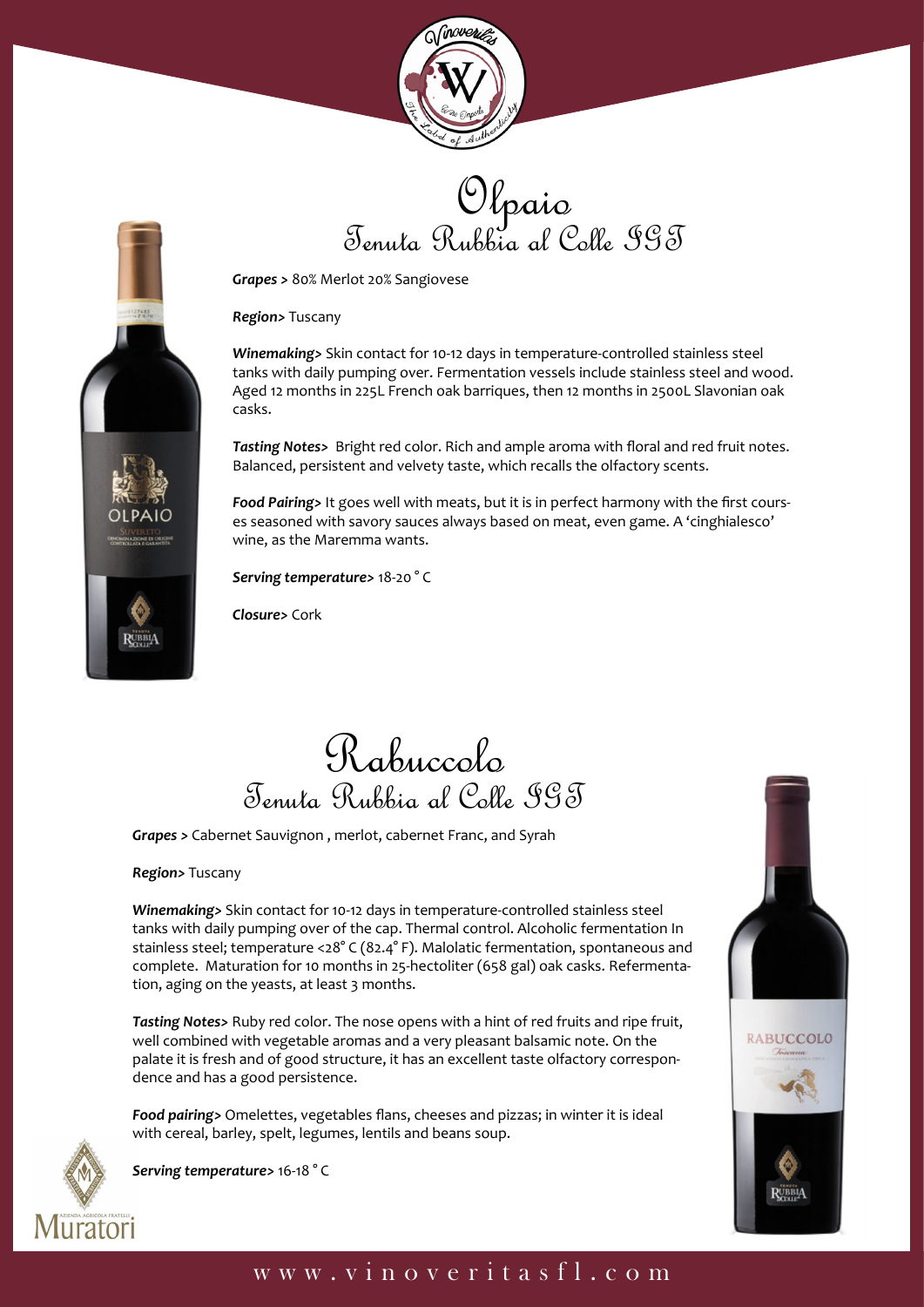





*Region>* Tuscany

*Winemaking>* Skin contact for 10-12 days in temperature-controlled stainless steel tanks with daily pumping over. Fermentation vessels include stainless steel and wood. Aged 12 months in 225L French oak barriques, then 12 months in 2500L Slavonian oak casks.

*Tasting Notes>* Bright red color. Rich and ample aroma with floral and red fruit notes. Balanced, persistent and velvety taste, which recalls the olfactory scents.

*Food Pairing>* It goes well with meats, but it is in perfect harmony with the first courses seasoned with savory sauces always based on meat, even game. A 'cinghialesco' wine, as the Maremma wants.

*Serving temperature>* 18-20 ° C

*Closure>* Cork

## Rabuccolo Tenuta Rubbia al Colle IGT

*Grapes >* Cabernet Sauvignon , merlot, cabernet Franc, and Syrah

*Region>* Tuscany

**RUBBIA** 

*Winemaking>* Skin contact for 10-12 days in temperature-controlled stainless steel tanks with daily pumping over of the cap. Thermal control. Alcoholic fermentation In stainless steel; temperature <28° C (82.4° F). Malolatic fermentation, spontaneous and complete. Maturation for 10 months in 25-hectoliter (658 gal) oak casks. Refermentation, aging on the yeasts, at least 3 months.

*Tasting Notes>* Ruby red color. The nose opens with a hint of red fruits and ripe fruit, well combined with vegetable aromas and a very pleasant balsamic note. On the palate it is fresh and of good structure, it has an excellent taste olfactory correspondence and has a good persistence.

*Food pairing>* Omelettes, vegetables flans, cheeses and pizzas; in winter it is ideal with cereal, barley, spelt, legumes, lentils and beans soup.



*Serving temperature>* 16-18 ° C



## www.vinoveritasfl.com